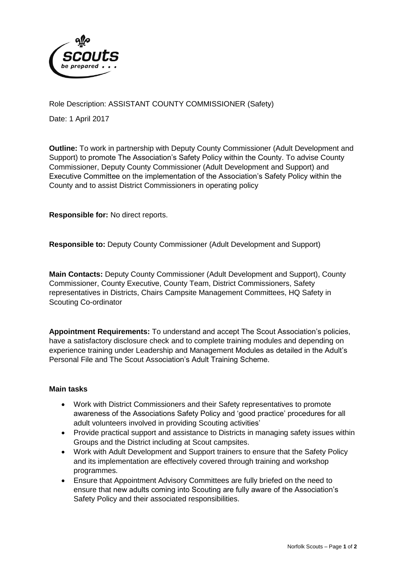

Role Description: ASSISTANT COUNTY COMMISSIONER (Safety)

Date: 1 April 2017

**Outline:** To work in partnership with Deputy County Commissioner (Adult Development and Support) to promote The Association's Safety Policy within the County. To advise County Commissioner, Deputy County Commissioner (Adult Development and Support) and Executive Committee on the implementation of the Association's Safety Policy within the County and to assist District Commissioners in operating policy

**Responsible for:** No direct reports.

**Responsible to:** Deputy County Commissioner (Adult Development and Support)

**Main Contacts:** Deputy County Commissioner (Adult Development and Support), County Commissioner, County Executive, County Team, District Commissioners, Safety representatives in Districts, Chairs Campsite Management Committees, HQ Safety in Scouting Co-ordinator

**Appointment Requirements:** To understand and accept The Scout Association's policies, have a satisfactory disclosure check and to complete training modules and depending on experience training under Leadership and Management Modules as detailed in the Adult's Personal File and The Scout Association's Adult Training Scheme.

## **Main tasks**

- Work with District Commissioners and their Safety representatives to promote awareness of the Associations Safety Policy and 'good practice' procedures for all adult volunteers involved in providing Scouting activities'
- Provide practical support and assistance to Districts in managing safety issues within Groups and the District including at Scout campsites.
- Work with Adult Development and Support trainers to ensure that the Safety Policy and its implementation are effectively covered through training and workshop programmes.
- Ensure that Appointment Advisory Committees are fully briefed on the need to ensure that new adults coming into Scouting are fully aware of the Association's Safety Policy and their associated responsibilities.